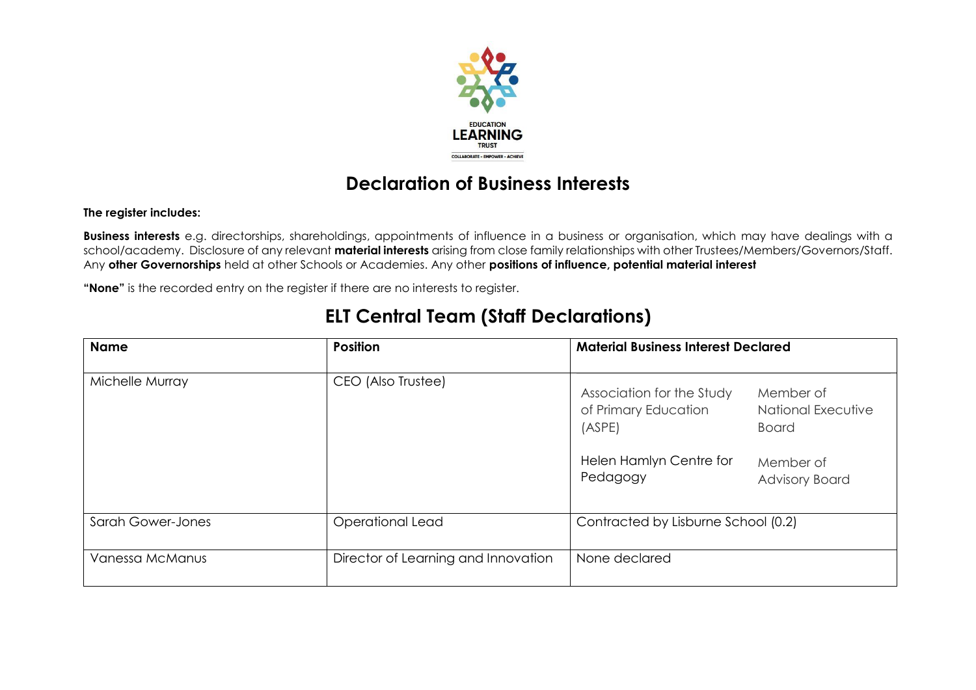

## **Declaration of Business Interests**

#### **The register includes:**

**Business interests** e.g. directorships, shareholdings, appointments of influence in a business or organisation, which may have dealings with a school/academy. Disclosure of any relevant **material interests** arising from close family relationships with other Trustees/Members/Governors/Staff. Any **other Governorships** held at other Schools or Academies. Any other **positions of influence, potential material interest**

**"None"** is the recorded entry on the register if there are no interests to register.

### **ELT Central Team (Staff Declarations)**

| <b>Name</b>              | <b>Position</b>                     | <b>Material Business Interest Declared</b>                                                                                                                                                         |  |
|--------------------------|-------------------------------------|----------------------------------------------------------------------------------------------------------------------------------------------------------------------------------------------------|--|
| Michelle Murray          | CEO (Also Trustee)                  | Association for the Study<br>Member of<br>of Primary Education<br><b>National Executive</b><br>(ASPE)<br><b>Board</b><br>Helen Hamlyn Centre for<br>Member of<br>Pedagogy<br><b>Advisory Board</b> |  |
| <b>Sarah Gower-Jones</b> | Operational Lead                    | Contracted by Lisburne School (0.2)                                                                                                                                                                |  |
| Vanessa McManus          | Director of Learning and Innovation | None declared                                                                                                                                                                                      |  |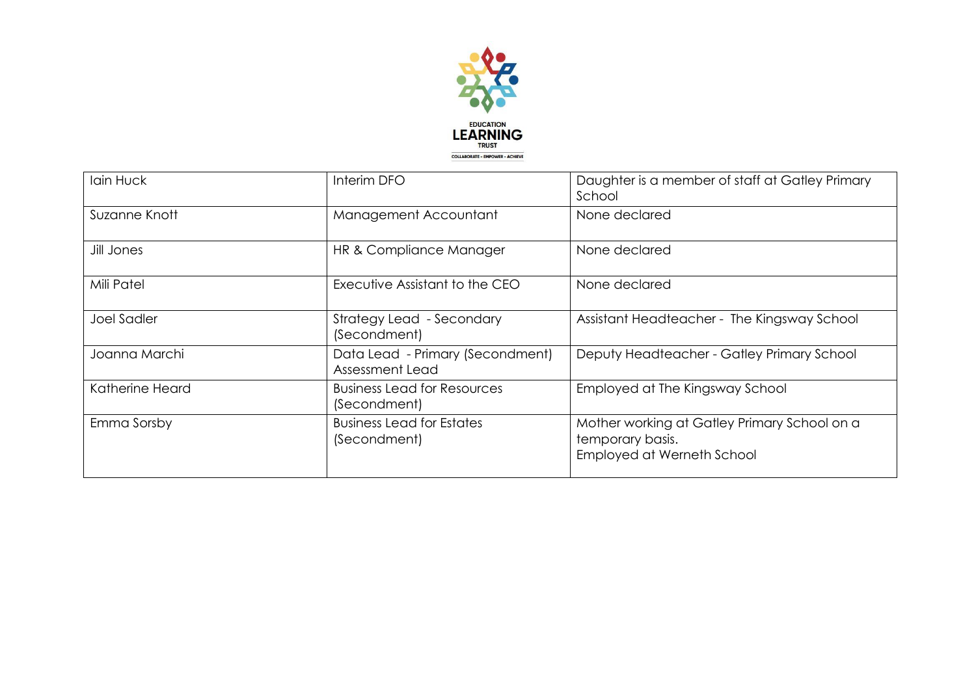

| Iain Huck          | Interim DFO                                         | Daughter is a member of staff at Gatley Primary<br>School                                      |
|--------------------|-----------------------------------------------------|------------------------------------------------------------------------------------------------|
| Suzanne Knott      | Management Accountant                               | None declared                                                                                  |
| Jill Jones         | HR & Compliance Manager                             | None declared                                                                                  |
| Mili Patel         | Executive Assistant to the CEO                      | None declared                                                                                  |
| <b>Joel Sadler</b> | Strategy Lead - Secondary<br>(Secondment)           | Assistant Headteacher - The Kingsway School                                                    |
| Joanna Marchi      | Data Lead - Primary (Secondment)<br>Assessment Lead | Deputy Headteacher - Gatley Primary School                                                     |
| Katherine Heard    | <b>Business Lead for Resources</b><br>(Secondment)  | Employed at The Kingsway School                                                                |
| Emma Sorsby        | <b>Business Lead for Estates</b><br>(Secondment)    | Mother working at Gatley Primary School on a<br>temporary basis.<br>Employed at Werneth School |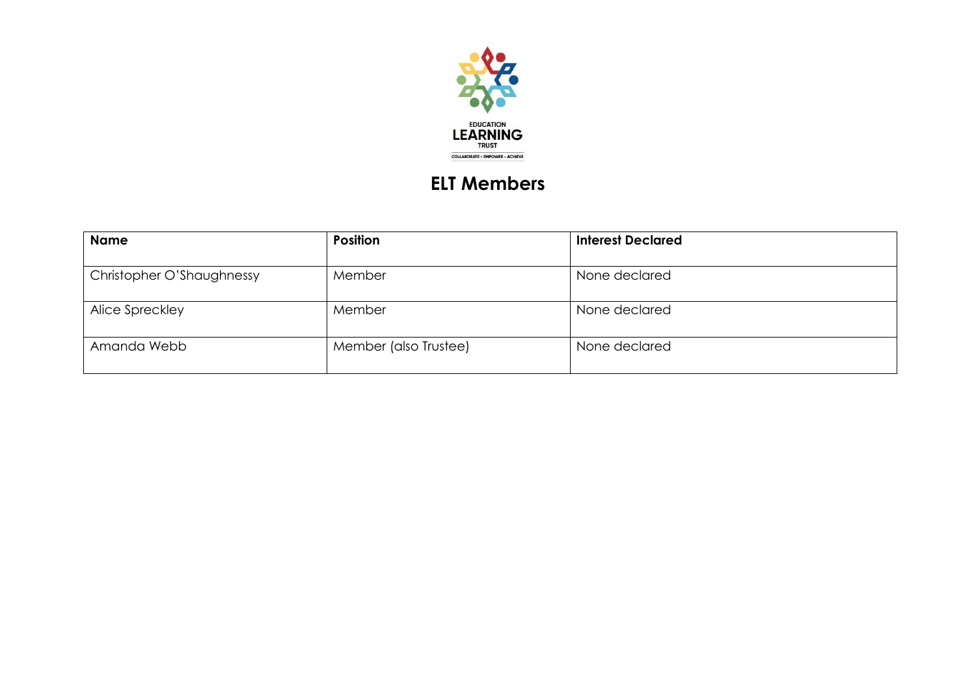

# **ELT Members**

| <b>Name</b>               | <b>Position</b>       | <b>Interest Declared</b> |
|---------------------------|-----------------------|--------------------------|
| Christopher O'Shaughnessy | Member                | None declared            |
| Alice Spreckley           | Member                | None declared            |
| Amanda Webb               | Member (also Trustee) | None declared            |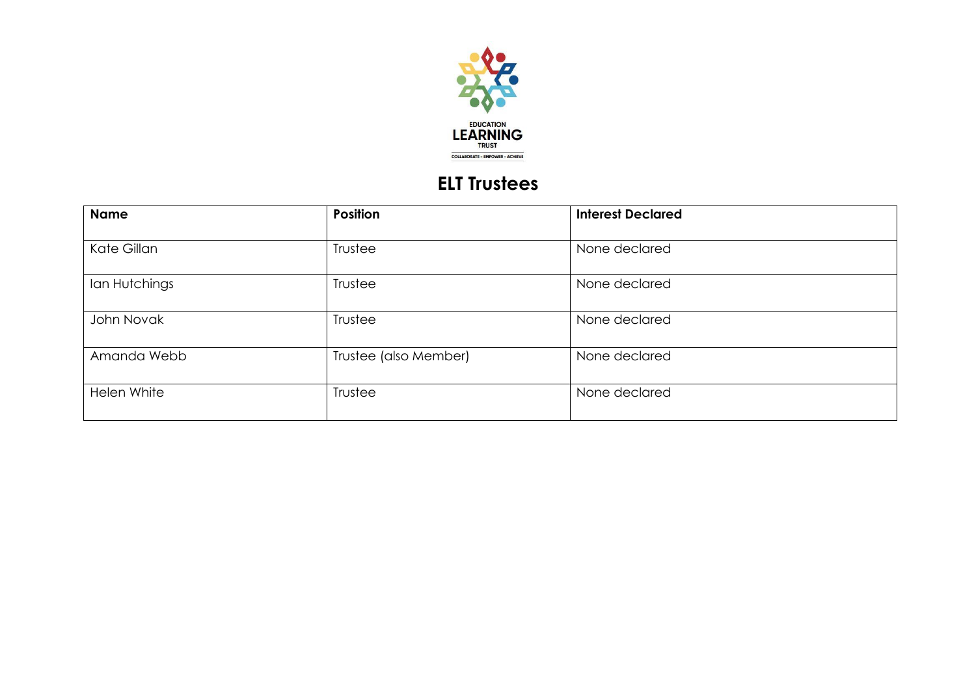

## **ELT Trustees**

| <b>Name</b>   | <b>Position</b>       | <b>Interest Declared</b> |  |
|---------------|-----------------------|--------------------------|--|
| Kate Gillan   | Trustee               | None declared            |  |
| lan Hutchings | Trustee               | None declared            |  |
| John Novak    | Trustee               | None declared            |  |
| Amanda Webb   | Trustee (also Member) | None declared            |  |
| Helen White   | Trustee               | None declared            |  |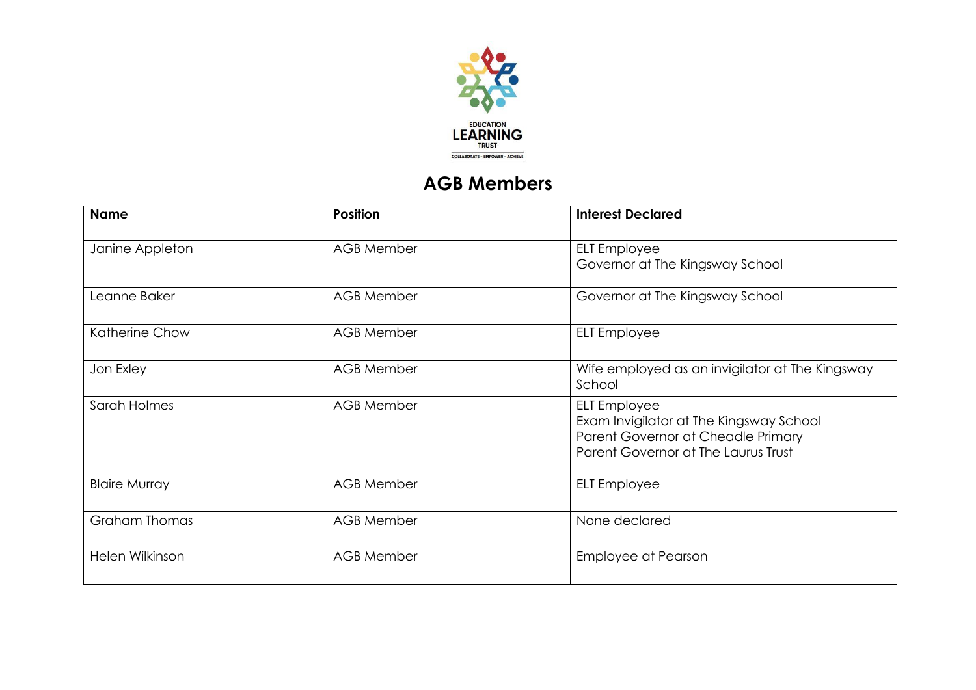

## **AGB Members**

| <b>Name</b>          | <b>Position</b>   | <b>Interest Declared</b>                                                                                                                    |
|----------------------|-------------------|---------------------------------------------------------------------------------------------------------------------------------------------|
| Janine Appleton      | <b>AGB Member</b> | <b>ELT</b> Employee<br>Governor at The Kingsway School                                                                                      |
| Leanne Baker         | <b>AGB Member</b> | Governor at The Kingsway School                                                                                                             |
| Katherine Chow       | <b>AGB Member</b> | <b>ELT</b> Employee                                                                                                                         |
| Jon Exley            | <b>AGB Member</b> | Wife employed as an invigilator at The Kingsway<br>School                                                                                   |
| Sarah Holmes         | <b>AGB Member</b> | <b>ELT</b> Employee<br>Exam Invigilator at The Kingsway School<br>Parent Governor at Cheadle Primary<br>Parent Governor at The Laurus Trust |
| <b>Blaire Murray</b> | <b>AGB Member</b> | <b>ELT</b> Employee                                                                                                                         |
| <b>Graham Thomas</b> | <b>AGB Member</b> | None declared                                                                                                                               |
| Helen Wilkinson      | <b>AGB Member</b> | <b>Employee at Pearson</b>                                                                                                                  |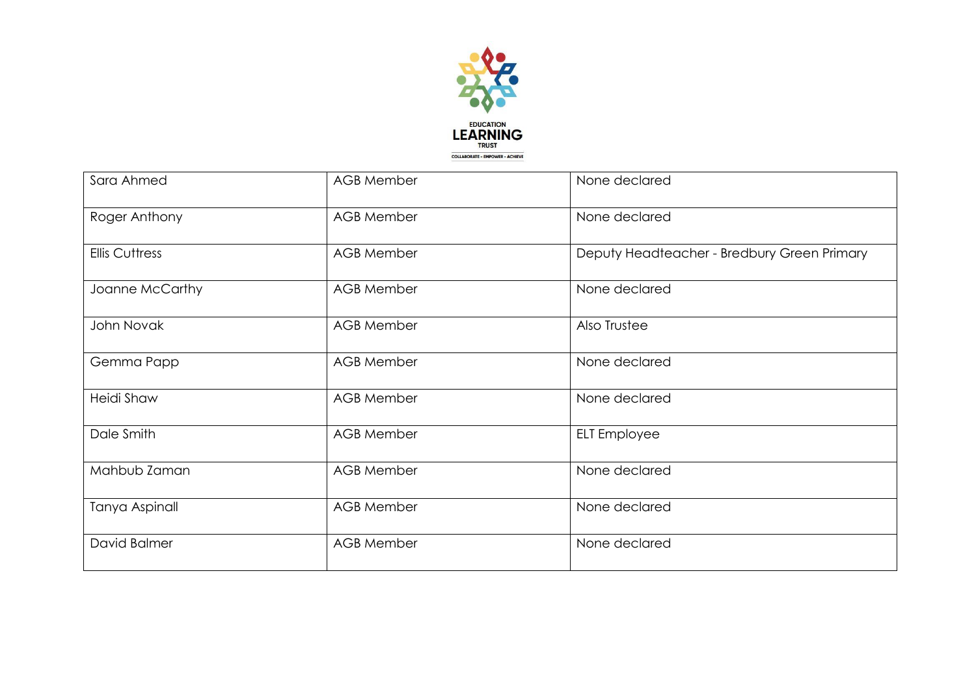

| Sara Ahmed            | <b>AGB Member</b> | None declared                               |
|-----------------------|-------------------|---------------------------------------------|
| Roger Anthony         | <b>AGB Member</b> | None declared                               |
| <b>Ellis Cuttress</b> | <b>AGB Member</b> | Deputy Headteacher - Bredbury Green Primary |
| Joanne McCarthy       | <b>AGB Member</b> | None declared                               |
| John Novak            | <b>AGB Member</b> | Also Trustee                                |
| Gemma Papp            | <b>AGB Member</b> | None declared                               |
| <b>Heidi Shaw</b>     | <b>AGB Member</b> | None declared                               |
| Dale Smith            | <b>AGB Member</b> | <b>ELT</b> Employee                         |
| Mahbub Zaman          | <b>AGB Member</b> | None declared                               |
| <b>Tanya Aspinall</b> | <b>AGB Member</b> | None declared                               |
| David Balmer          | <b>AGB Member</b> | None declared                               |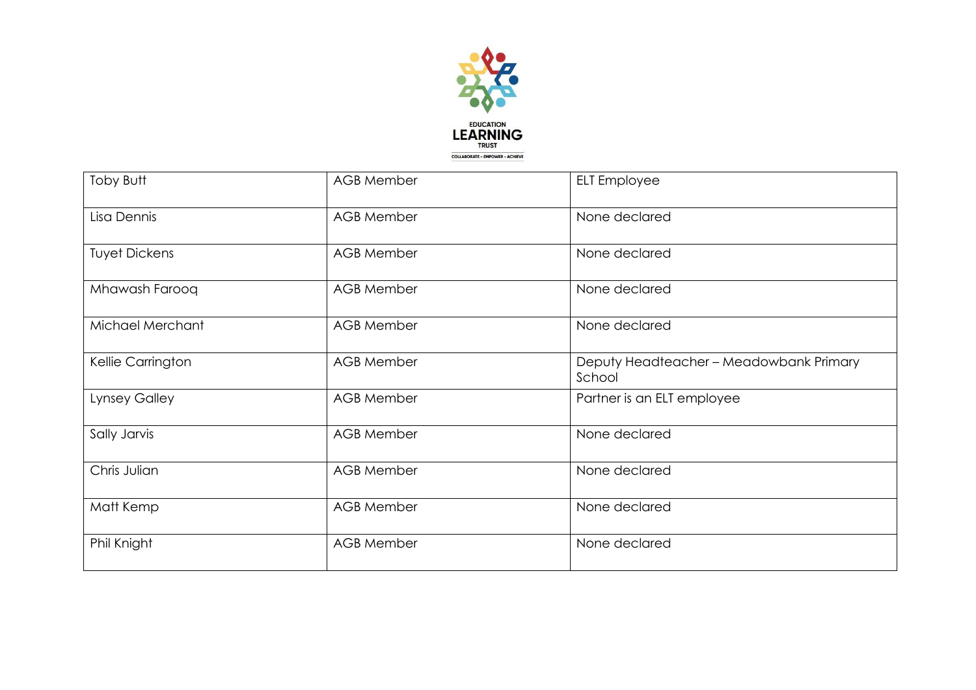

| Toby Butt            | <b>AGB Member</b> | <b>ELT</b> Employee                               |
|----------------------|-------------------|---------------------------------------------------|
| Lisa Dennis          | <b>AGB Member</b> | None declared                                     |
| <b>Tuyet Dickens</b> | <b>AGB Member</b> | None declared                                     |
| Mhawash Farooq       | <b>AGB Member</b> | None declared                                     |
| Michael Merchant     | <b>AGB Member</b> | None declared                                     |
| Kellie Carrington    | <b>AGB Member</b> | Deputy Headteacher - Meadowbank Primary<br>School |
| <b>Lynsey Galley</b> | <b>AGB Member</b> | Partner is an ELT employee                        |
| Sally Jarvis         | <b>AGB Member</b> | None declared                                     |
| Chris Julian         | <b>AGB Member</b> | None declared                                     |
| Matt Kemp            | <b>AGB Member</b> | None declared                                     |
| Phil Knight          | <b>AGB Member</b> | None declared                                     |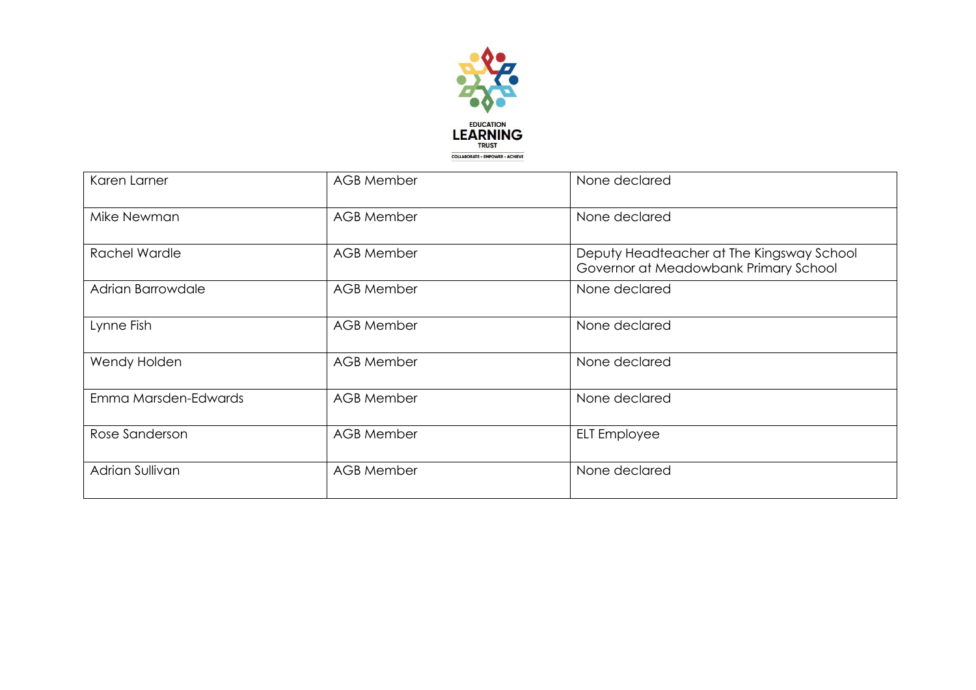

| Karen Larner         | <b>AGB Member</b> | None declared                                                                      |
|----------------------|-------------------|------------------------------------------------------------------------------------|
| Mike Newman          | <b>AGB Member</b> | None declared                                                                      |
| <b>Rachel Wardle</b> | <b>AGB Member</b> | Deputy Headteacher at The Kingsway School<br>Governor at Meadowbank Primary School |
| Adrian Barrowdale    | <b>AGB Member</b> | None declared                                                                      |
| Lynne Fish           | <b>AGB Member</b> | None declared                                                                      |
| Wendy Holden         | <b>AGB Member</b> | None declared                                                                      |
| Emma Marsden-Edwards | <b>AGB Member</b> | None declared                                                                      |
| Rose Sanderson       | <b>AGB Member</b> | <b>ELT</b> Employee                                                                |
| Adrian Sullivan      | <b>AGB Member</b> | None declared                                                                      |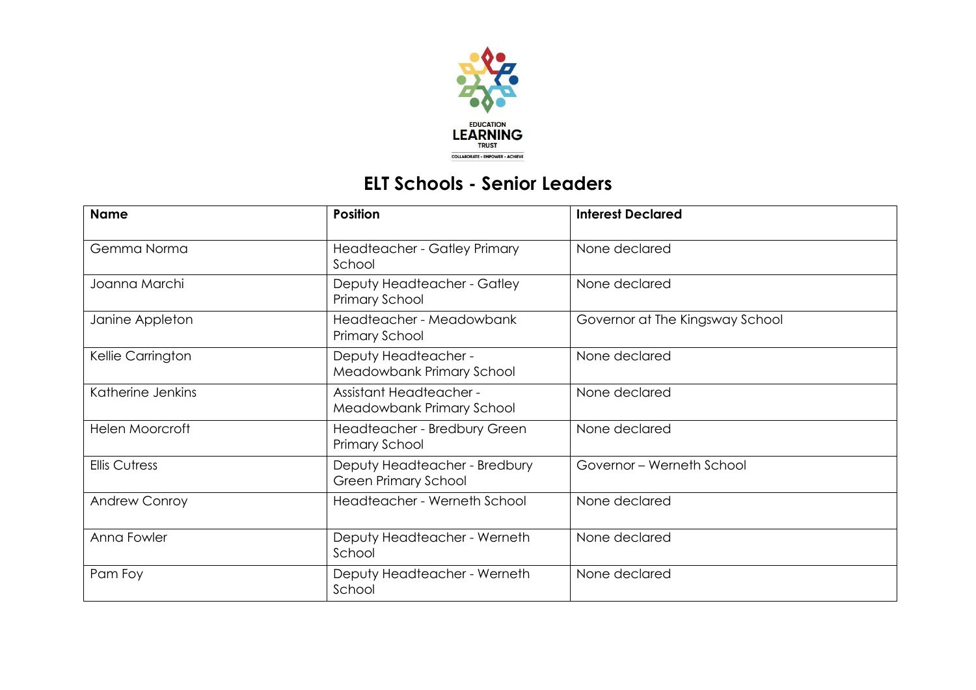

## **ELT Schools - Senior Leaders**

| <b>Name</b>            | <b>Position</b>                                              | <b>Interest Declared</b>        |
|------------------------|--------------------------------------------------------------|---------------------------------|
| Gemma Norma            | Headteacher - Gatley Primary<br>School                       | None declared                   |
| Joanna Marchi          | Deputy Headteacher - Gatley<br>Primary School                | None declared                   |
| Janine Appleton        | Headteacher - Meadowbank<br>Primary School                   | Governor at The Kingsway School |
| Kellie Carrington      | Deputy Headteacher -<br>Meadowbank Primary School            | None declared                   |
| Katherine Jenkins      | <b>Assistant Headteacher -</b><br>Meadowbank Primary School  | None declared                   |
| <b>Helen Moorcroft</b> | Headteacher - Bredbury Green<br>Primary School               | None declared                   |
| <b>Ellis Cutress</b>   | Deputy Headteacher - Bredbury<br><b>Green Primary School</b> | Governor - Werneth School       |
| <b>Andrew Conroy</b>   | Headteacher - Werneth School                                 | None declared                   |
| Anna Fowler            | Deputy Headteacher - Werneth<br>School                       | None declared                   |
| Pam Foy                | Deputy Headteacher - Werneth<br>School                       | None declared                   |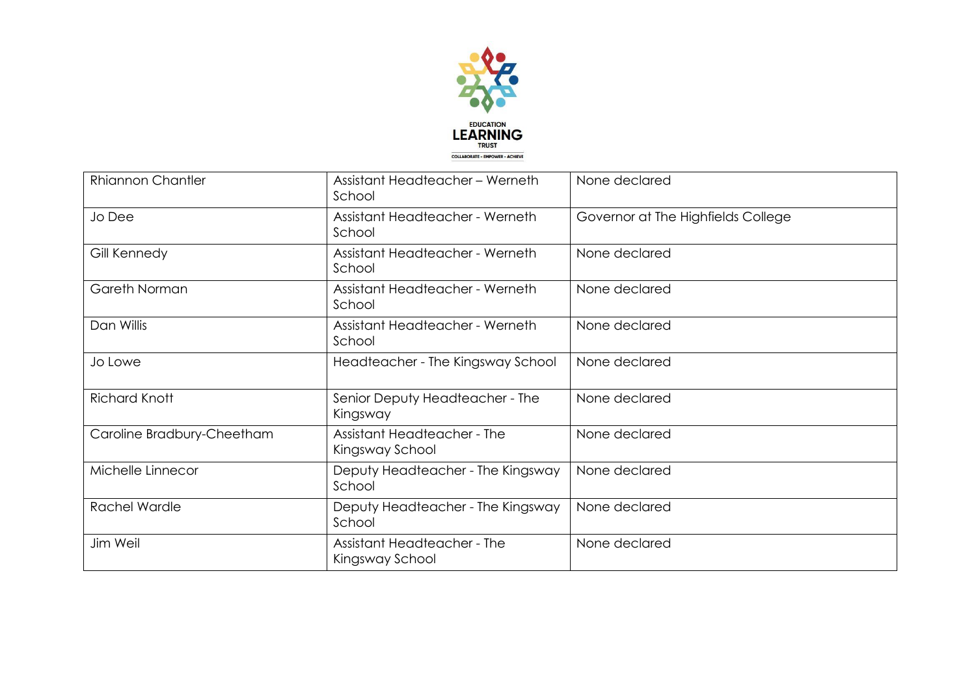

| <b>Rhiannon Chantler</b>   | Assistant Headteacher - Werneth<br>School             | None declared                      |
|----------------------------|-------------------------------------------------------|------------------------------------|
| Jo Dee                     | Assistant Headteacher - Werneth<br>School             | Governor at The Highfields College |
| Gill Kennedy               | Assistant Headteacher - Werneth<br>School             | None declared                      |
| Gareth Norman              | Assistant Headteacher - Werneth<br>School             | None declared                      |
| Dan Willis                 | Assistant Headteacher - Werneth<br>School             | None declared                      |
| Jo Lowe                    | Headteacher - The Kingsway School                     | None declared                      |
| <b>Richard Knott</b>       | Senior Deputy Headteacher - The<br>Kingsway           | None declared                      |
| Caroline Bradbury-Cheetham | <b>Assistant Headteacher - The</b><br>Kingsway School | None declared                      |
| Michelle Linnecor          | Deputy Headteacher - The Kingsway<br>School           | None declared                      |
| Rachel Wardle              | Deputy Headteacher - The Kingsway<br>School           | None declared                      |
| Jim Weil                   | <b>Assistant Headteacher - The</b><br>Kingsway School | None declared                      |